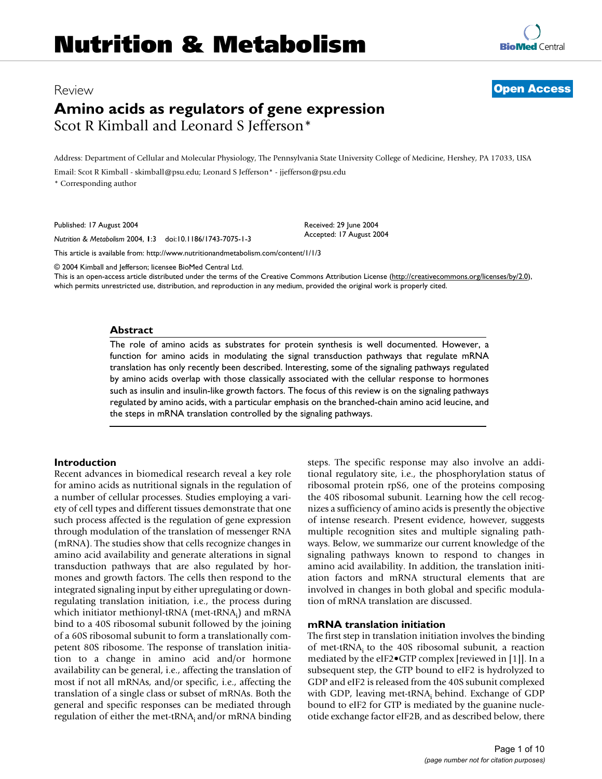# Review **[Open Access](http://www.biomedcentral.com/info/about/charter/)**

# **Amino acids as regulators of gene expression** Scot R Kimball and Leonard S Jefferson\*

Address: Department of Cellular and Molecular Physiology, The Pennsylvania State University College of Medicine, Hershey, PA 17033, USA Email: Scot R Kimball - skimball@psu.edu; Leonard S Jefferson\* - jjefferson@psu.edu \* Corresponding author

> Received: 29 June 2004 Accepted: 17 August 2004

Published: 17 August 2004

*Nutrition & Metabolism* 2004, **1**:3 doi:10.1186/1743-7075-1-3

[This article is available from: http://www.nutritionandmetabolism.com/content/1/1/3](http://www.nutritionandmetabolism.com/content/1/1/3)

© 2004 Kimball and Jefferson; licensee BioMed Central Ltd.

This is an open-access article distributed under the terms of the Creative Commons Attribution License (<http://creativecommons.org/licenses/by/2.0>), which permits unrestricted use, distribution, and reproduction in any medium, provided the original work is properly cited.

## **Abstract**

The role of amino acids as substrates for protein synthesis is well documented. However, a function for amino acids in modulating the signal transduction pathways that regulate mRNA translation has only recently been described. Interesting, some of the signaling pathways regulated by amino acids overlap with those classically associated with the cellular response to hormones such as insulin and insulin-like growth factors. The focus of this review is on the signaling pathways regulated by amino acids, with a particular emphasis on the branched-chain amino acid leucine, and the steps in mRNA translation controlled by the signaling pathways.

# **Introduction**

Recent advances in biomedical research reveal a key role for amino acids as nutritional signals in the regulation of a number of cellular processes. Studies employing a variety of cell types and different tissues demonstrate that one such process affected is the regulation of gene expression through modulation of the translation of messenger RNA (mRNA). The studies show that cells recognize changes in amino acid availability and generate alterations in signal transduction pathways that are also regulated by hormones and growth factors. The cells then respond to the integrated signaling input by either upregulating or downregulating translation initiation, i.e., the process during which initiator methionyl-tRNA (met-tRNA<sub>i</sub>) and mRNA bind to a 40S ribosomal subunit followed by the joining of a 60S ribosomal subunit to form a translationally competent 80S ribosome. The response of translation initiation to a change in amino acid and/or hormone availability can be general, i.e., affecting the translation of most if not all mRNAs, and/or specific, i.e., affecting the translation of a single class or subset of mRNAs. Both the general and specific responses can be mediated through regulation of either the met-tRNA<sub>i</sub> and/or mRNA binding steps. The specific response may also involve an additional regulatory site, i.e., the phosphorylation status of ribosomal protein rpS6, one of the proteins composing the 40S ribosomal subunit. Learning how the cell recognizes a sufficiency of amino acids is presently the objective of intense research. Present evidence, however, suggests multiple recognition sites and multiple signaling pathways. Below, we summarize our current knowledge of the signaling pathways known to respond to changes in amino acid availability. In addition, the translation initiation factors and mRNA structural elements that are involved in changes in both global and specific modulation of mRNA translation are discussed.

# **mRNA translation initiation**

The first step in translation initiation involves the binding of met-tRNA<sub>i</sub> to the 40S ribosomal subunit, a reaction mediated by the eIF2•GTP complex [reviewed in [1]]. In a subsequent step, the GTP bound to eIF2 is hydrolyzed to GDP and eIF2 is released from the 40S subunit complexed with GDP, leaving met-tRNA; behind. Exchange of GDP bound to eIF2 for GTP is mediated by the guanine nucleotide exchange factor eIF2B, and as described below, there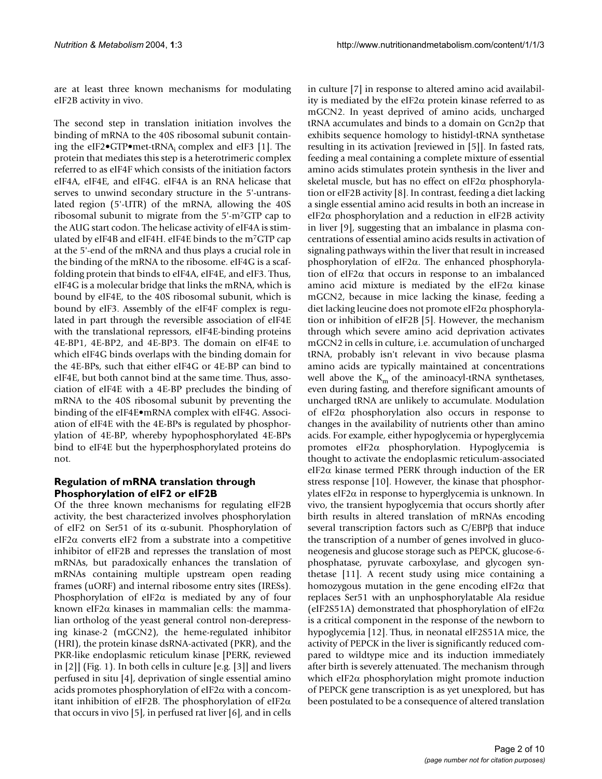are at least three known mechanisms for modulating eIF2B activity in vivo.

The second step in translation initiation involves the binding of mRNA to the 40S ribosomal subunit containing the eIF2 $\bullet$ GTP $\bullet$ met-tRNA<sub>i</sub> complex and eIF3 [1]. The protein that mediates this step is a heterotrimeric complex referred to as eIF4F which consists of the initiation factors eIF4A, eIF4E, and eIF4G. eIF4A is an RNA helicase that serves to unwind secondary structure in the 5'-untranslated region (5'-UTR) of the mRNA, allowing the 40S ribosomal subunit to migrate from the 5'-m7GTP cap to the AUG start codon. The helicase activity of eIF4A is stimulated by eIF4B and eIF4H. eIF4E binds to the m7GTP cap at the 5'-end of the mRNA and thus plays a crucial role in the binding of the mRNA to the ribosome. eIF4G is a scaffolding protein that binds to eIF4A, eIF4E, and eIF3. Thus, eIF4G is a molecular bridge that links the mRNA, which is bound by eIF4E, to the 40S ribosomal subunit, which is bound by eIF3. Assembly of the eIF4F complex is regulated in part through the reversible association of eIF4E with the translational repressors, eIF4E-binding proteins 4E-BP1, 4E-BP2, and 4E-BP3. The domain on eIF4E to which eIF4G binds overlaps with the binding domain for the 4E-BPs, such that either eIF4G or 4E-BP can bind to eIF4E, but both cannot bind at the same time. Thus, association of eIF4E with a 4E-BP precludes the binding of mRNA to the 40S ribosomal subunit by preventing the binding of the eIF4E•mRNA complex with eIF4G. Association of eIF4E with the 4E-BPs is regulated by phosphorylation of 4E-BP, whereby hypophosphorylated 4E-BPs bind to eIF4E but the hyperphosphorylated proteins do not.

# **Regulation of mRNA translation through Phosphorylation of eIF2 or eIF2B**

Of the three known mechanisms for regulating eIF2B activity, the best characterized involves phosphorylation of eIF2 on Ser51 of its  $\alpha$ -subunit. Phosphorylation of eIF2 $\alpha$  converts eIF2 from a substrate into a competitive inhibitor of eIF2B and represses the translation of most mRNAs, but paradoxically enhances the translation of mRNAs containing multiple upstream open reading frames (uORF) and internal ribosome entry sites (IRESs). Phosphorylation of eIF2 $\alpha$  is mediated by any of four known eIF2α kinases in mammalian cells: the mammalian ortholog of the yeast general control non-derepressing kinase-2 (mGCN2), the heme-regulated inhibitor (HRI), the protein kinase dsRNA-activated (PKR), and the PKR-like endoplasmic reticulum kinase [PERK, reviewed in [2]] (Fig. 1). In both cells in culture [e.g. [3]] and livers perfused in situ [4], deprivation of single essential amino acids promotes phosphorylation of eIF2 $\alpha$  with a concomitant inhibition of eIF2B. The phosphorylation of eIF2 $\alpha$ that occurs in vivo [5], in perfused rat liver [6], and in cells

in culture [7] in response to altered amino acid availability is mediated by the eIF2 $\alpha$  protein kinase referred to as mGCN2. In yeast deprived of amino acids, uncharged tRNA accumulates and binds to a domain on Gcn2p that exhibits sequence homology to histidyl-tRNA synthetase resulting in its activation [reviewed in [5]]. In fasted rats, feeding a meal containing a complete mixture of essential amino acids stimulates protein synthesis in the liver and skeletal muscle, but has no effect on eIF2 $\alpha$  phosphorylation or eIF2B activity [8]. In contrast, feeding a diet lacking a single essential amino acid results in both an increase in eIF2α phosphorylation and a reduction in eIF2B activity in liver [9], suggesting that an imbalance in plasma concentrations of essential amino acids results in activation of signaling pathways within the liver that result in increased phosphorylation of eIF2α. The enhanced phosphorylation of eIF2 $\alpha$  that occurs in response to an imbalanced amino acid mixture is mediated by the eIF2 $\alpha$  kinase mGCN2, because in mice lacking the kinase, feeding a diet lacking leucine does not promote eIF2α phosphorylation or inhibition of eIF2B [5]. However, the mechanism through which severe amino acid deprivation activates mGCN2 in cells in culture, i.e. accumulation of uncharged tRNA, probably isn't relevant in vivo because plasma amino acids are typically maintained at concentrations well above the  $K<sub>m</sub>$  of the aminoacyl-tRNA synthetases, even during fasting, and therefore significant amounts of uncharged tRNA are unlikely to accumulate. Modulation of eIF2α phosphorylation also occurs in response to changes in the availability of nutrients other than amino acids. For example, either hypoglycemia or hyperglycemia promotes eIF2α phosphorylation. Hypoglycemia is thought to activate the endoplasmic reticulum-associated eIF2 $\alpha$  kinase termed PERK through induction of the ER stress response [[10\]](#page-7-0). However, the kinase that phosphorylates eIF2α in response to hyperglycemia is unknown. In vivo, the transient hypoglycemia that occurs shortly after birth results in altered translation of mRNAs encoding several transcription factors such as C/EBPβ that induce the transcription of a number of genes involved in gluconeogenesis and glucose storage such as PEPCK, glucose-6 phosphatase, pyruvate carboxylase, and glycogen synthetase [11]. A recent study using mice containing a homozygous mutation in the gene encoding eIF2 $\alpha$  that replaces Ser51 with an unphosphorylatable Ala residue (eIF2S51A) demonstrated that phosphorylation of eIF2α is a critical component in the response of the newborn to hypoglycemia [12]. Thus, in neonatal eIF2S51A mice, the activity of PEPCK in the liver is significantly reduced compared to wildtype mice and its induction immediately after birth is severely attenuated. The mechanism through which eIF2α phosphorylation might promote induction of PEPCK gene transcription is as yet unexplored, but has been postulated to be a consequence of altered translation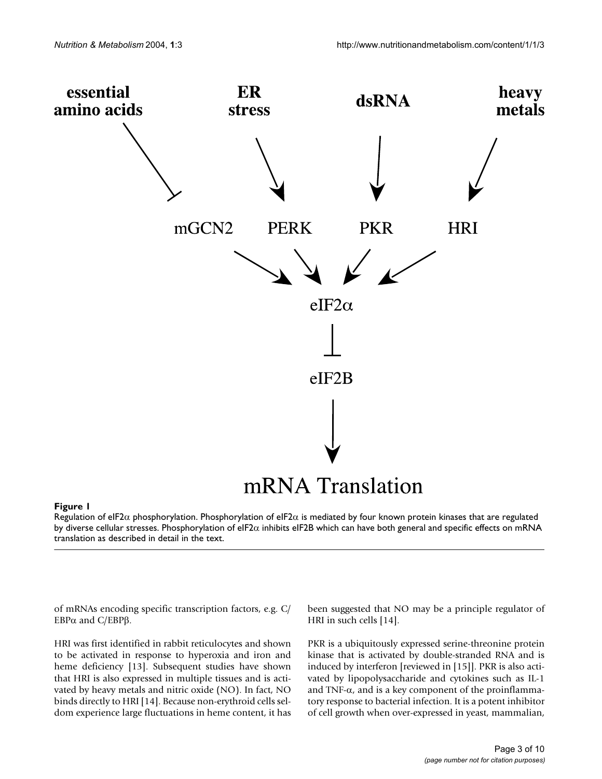

## **Figure 1**

Regulation of eIF2α phosphorylation. Phosphorylation of eIF2α is mediated by four known protein kinases that are regulated by diverse cellular stresses. Phosphorylation of eIF2α inhibits eIF2B which can have both general and specific effects on mRNA translation as described in detail in the text.

of mRNAs encoding specific transcription factors, e.g. C/ EBP $α$  and  $C/EBPβ$ .

HRI was first identified in rabbit reticulocytes and shown to be activated in response to hyperoxia and iron and heme deficiency [13]. Subsequent studies have shown that HRI is also expressed in multiple tissues and is activated by heavy metals and nitric oxide (NO). In fact, NO binds directly to HRI [14]. Because non-erythroid cells seldom experience large fluctuations in heme content, it has been suggested that NO may be a principle regulator of HRI in such cells [14].

PKR is a ubiquitously expressed serine-threonine protein kinase that is activated by double-stranded RNA and is induced by interferon [reviewed in [15]]. PKR is also activated by lipopolysaccharide and cytokines such as IL-1 and TNF- $\alpha$ , and is a key component of the proinflammatory response to bacterial infection. It is a potent inhibitor of cell growth when over-expressed in yeast, mammalian,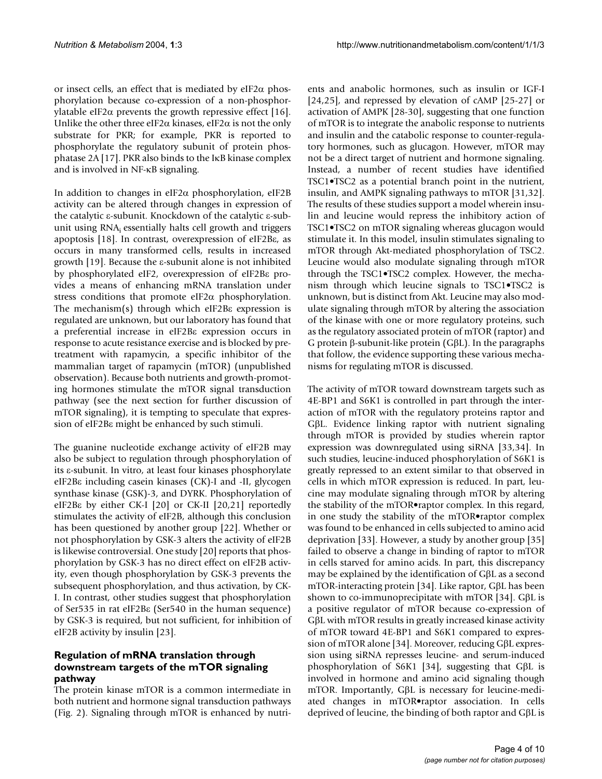or insect cells, an effect that is mediated by eIF2 $\alpha$  phosphorylation because co-expression of a non-phosphorylatable eIF2 $\alpha$  prevents the growth repressive effect [16]. Unlike the other three eIF2 $\alpha$  kinases, eIF2 $\alpha$  is not the only substrate for PKR; for example, PKR is reported to phosphorylate the regulatory subunit of protein phosphatase 2A [17]. PKR also binds to the IκB kinase complex and is involved in NF-κB signaling.

In addition to changes in eIF2α phosphorylation, eIF2B activity can be altered through changes in expression of the catalytic ε-subunit. Knockdown of the catalytic ε-subunit using  $RNA<sub>i</sub>$  essentially halts cell growth and triggers apoptosis [18]. In contrast, overexpression of eIF2Bε, as occurs in many transformed cells, results in increased growth [19]. Because the ε-subunit alone is not inhibited by phosphorylated eIF2, overexpression of eIF2Bε provides a means of enhancing mRNA translation under stress conditions that promote eIF2α phosphorylation. The mechanism(s) through which eIF2Bε expression is regulated are unknown, but our laboratory has found that a preferential increase in eIF2Bε expression occurs in response to acute resistance exercise and is blocked by pretreatment with rapamycin, a specific inhibitor of the mammalian target of rapamycin (mTOR) (unpublished observation). Because both nutrients and growth-promoting hormones stimulate the mTOR signal transduction pathway (see the next section for further discussion of mTOR signaling), it is tempting to speculate that expression of eIF2Bε might be enhanced by such stimuli.

The guanine nucleotide exchange activity of eIF2B may also be subject to regulation through phosphorylation of its ε-subunit. In vitro, at least four kinases phosphorylate eIF2Bε including casein kinases (CK)-I and -II, glycogen synthase kinase (GSK)-3, and DYRK. Phosphorylation of eIF2Bε by either CK-I [20] or CK-II [20,21] reportedly stimulates the activity of eIF2B, although this conclusion has been questioned by another group [22]. Whether or not phosphorylation by GSK-3 alters the activity of eIF2B is likewise controversial. One study [20] reports that phosphorylation by GSK-3 has no direct effect on eIF2B activity, even though phosphorylation by GSK-3 prevents the subsequent phosphorylation, and thus activation, by CK-I. In contrast, other studies suggest that phosphorylation of Ser535 in rat eIF2Bε (Ser540 in the human sequence) by GSK-3 is required, but not sufficient, for inhibition of eIF2B activity by insulin [23].

# **Regulation of mRNA translation through downstream targets of the mTOR signaling pathway**

The protein kinase mTOR is a common intermediate in both nutrient and hormone signal transduction pathways (Fig. [2\)](#page-4-0). Signaling through mTOR is enhanced by nutrients and anabolic hormones, such as insulin or IGF-I [24,25], and repressed by elevation of cAMP [25-27] or activation of AMPK [28-30], suggesting that one function of mTOR is to integrate the anabolic response to nutrients and insulin and the catabolic response to counter-regulatory hormones, such as glucagon. However, mTOR may not be a direct target of nutrient and hormone signaling. Instead, a number of recent studies have identified TSC1•TSC2 as a potential branch point in the nutrient, insulin, and AMPK signaling pathways to mTOR [31,32]. The results of these studies support a model wherein insulin and leucine would repress the inhibitory action of TSC1•TSC2 on mTOR signaling whereas glucagon would stimulate it. In this model, insulin stimulates signaling to mTOR through Akt-mediated phosphorylation of TSC2. Leucine would also modulate signaling through mTOR through the TSC1•TSC2 complex. However, the mechanism through which leucine signals to TSC1•TSC2 is unknown, but is distinct from Akt. Leucine may also modulate signaling through mTOR by altering the association of the kinase with one or more regulatory proteins, such as the regulatory associated protein of mTOR (raptor) and G protein β-subunit-like protein (GβL). In the paragraphs that follow, the evidence supporting these various mechanisms for regulating mTOR is discussed.

The activity of mTOR toward downstream targets such as 4E-BP1 and S6K1 is controlled in part through the interaction of mTOR with the regulatory proteins raptor and GβL. Evidence linking raptor with nutrient signaling through mTOR is provided by studies wherein raptor expression was downregulated using siRNA [33,34]. In such studies, leucine-induced phosphorylation of S6K1 is greatly repressed to an extent similar to that observed in cells in which mTOR expression is reduced. In part, leucine may modulate signaling through mTOR by altering the stability of the mTOR•raptor complex. In this regard, in one study the stability of the mTOR•raptor complex was found to be enhanced in cells subjected to amino acid deprivation [33]. However, a study by another group [35] failed to observe a change in binding of raptor to mTOR in cells starved for amino acids. In part, this discrepancy may be explained by the identification of GβL as a second mTOR-interacting protein [34]. Like raptor, GβL has been shown to co-immunoprecipitate with mTOR [34]. GβL is a positive regulator of mTOR because co-expression of GβL with mTOR results in greatly increased kinase activity of mTOR toward 4E-BP1 and S6K1 compared to expression of mTOR alone [34]. Moreover, reducing GβL expression using siRNA represses leucine- and serum-induced phosphorylation of S6K1 [34], suggesting that GβL is involved in hormone and amino acid signaling though mTOR. Importantly, GβL is necessary for leucine-mediated changes in mTOR•raptor association. In cells deprived of leucine, the binding of both raptor and GβL is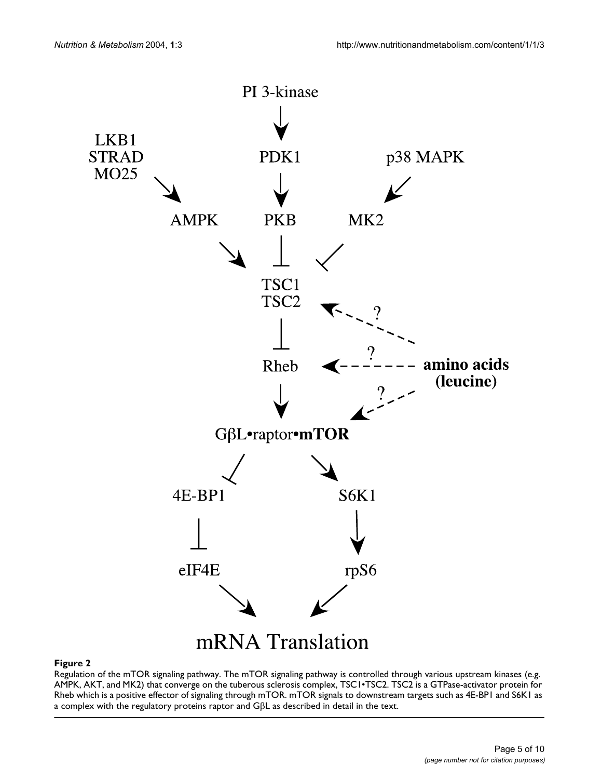<span id="page-4-0"></span>

#### **Figure 2**

Regulation of the mTOR signaling pathway. The mTOR signaling pathway is controlled through various upstream kinases (e.g. AMPK, AKT, and MK2) that converge on the tuberous sclerosis complex, TSC1•TSC2. TSC2 is a GTPase-activator protein for Rheb which is a positive effector of signaling through mTOR. mTOR signals to downstream targets such as 4E-BP1 and S6K1 as a complex with the regulatory proteins raptor and GβL as described in detail in the text.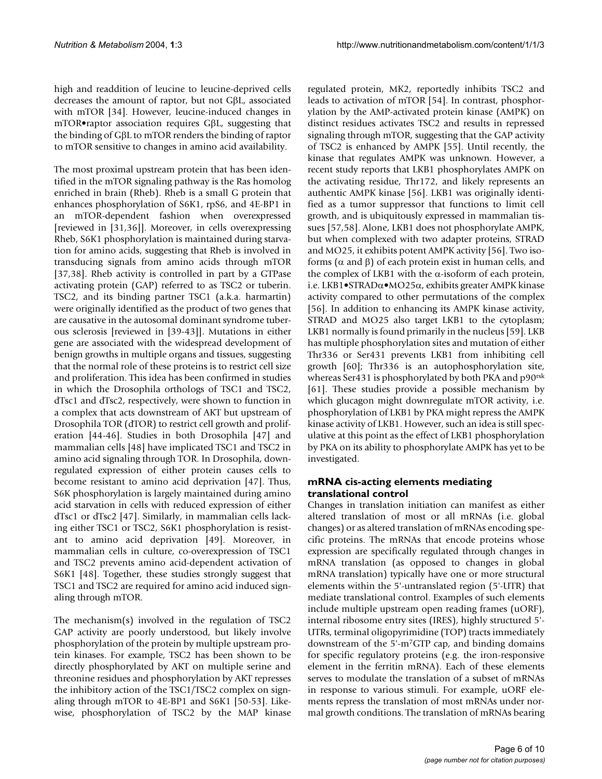high and readdition of leucine to leucine-deprived cells decreases the amount of raptor, but not GβL, associated with mTOR [34]. However, leucine-induced changes in mTOR•raptor association requires GβL, suggesting that the binding of GβL to mTOR renders the binding of raptor to mTOR sensitive to changes in amino acid availability.

The most proximal upstream protein that has been identified in the mTOR signaling pathway is the Ras homolog enriched in brain (Rheb). Rheb is a small G protein that enhances phosphorylation of S6K1, rpS6, and 4E-BP1 in an mTOR-dependent fashion when overexpressed [reviewed in [31,36]]. Moreover, in cells overexpressing Rheb, S6K1 phosphorylation is maintained during starvation for amino acids, suggesting that Rheb is involved in transducing signals from amino acids through mTOR [37,38]. Rheb activity is controlled in part by a GTPase activating protein (GAP) referred to as TSC2 or tuberin. TSC2, and its binding partner TSC1 (a.k.a. harmartin) were originally identified as the product of two genes that are causative in the autosomal dominant syndrome tuberous sclerosis [reviewed in [39-43]]. Mutations in either gene are associated with the widespread development of benign growths in multiple organs and tissues, suggesting that the normal role of these proteins is to restrict cell size and proliferation. This idea has been confirmed in studies in which the Drosophila orthologs of TSC1 and TSC2, dTsc1 and dTsc2, respectively, were shown to function in a complex that acts downstream of AKT but upstream of Drosophila TOR (dTOR) to restrict cell growth and proliferation [44-46]. Studies in both Drosophila [47] and mammalian cells [48] have implicated TSC1 and TSC2 in amino acid signaling through TOR. In Drosophila, downregulated expression of either protein causes cells to become resistant to amino acid deprivation [47]. Thus, S6K phosphorylation is largely maintained during amino acid starvation in cells with reduced expression of either dTsc1 or dTsc2 [47]. Similarly, in mammalian cells lacking either TSC1 or TSC2, S6K1 phosphorylation is resistant to amino acid deprivation [49]. Moreover, in mammalian cells in culture, co-overexpression of TSC1 and TSC2 prevents amino acid-dependent activation of S6K1 [48]. Together, these studies strongly suggest that TSC1 and TSC2 are required for amino acid induced signaling through mTOR.

The mechanism(s) involved in the regulation of TSC2 GAP activity are poorly understood, but likely involve phosphorylation of the protein by multiple upstream protein kinases. For example, TSC2 has been shown to be directly phosphorylated by AKT on multiple serine and threonine residues and phosphorylation by AKT represses the inhibitory action of the TSC1/TSC2 complex on signaling through mTOR to 4E-BP1 and S6K1 [50-53]. Likewise, phosphorylation of TSC2 by the MAP kinase

regulated protein, MK2, reportedly inhibits TSC2 and leads to activation of mTOR [54]. In contrast, phosphorylation by the AMP-activated protein kinase (AMPK) on distinct residues activates TSC2 and results in repressed signaling through mTOR, suggesting that the GAP activity of TSC2 is enhanced by AMPK [55]. Until recently, the kinase that regulates AMPK was unknown. However, a recent study reports that LKB1 phosphorylates AMPK on the activating residue, Thr172, and likely represents an authentic AMPK kinase [56]. LKB1 was originally identified as a tumor suppressor that functions to limit cell growth, and is ubiquitously expressed in mammalian tissues [57,58]. Alone, LKB1 does not phosphorylate AMPK, but when complexed with two adapter proteins, STRAD and MO25, it exhibits potent AMPK activity [56]. Two isoforms (α and β) of each protein exist in human cells, and the complex of LKB1 with the α-isoform of each protein, i.e. LKB1•STRADα•MO25α, exhibits greater AMPK kinase activity compared to other permutations of the complex [56]. In addition to enhancing its AMPK kinase activity, STRAD and MO25 also target LKB1 to the cytoplasm; LKB1 normally is found primarily in the nucleus [59]. LKB has multiple phosphorylation sites and mutation of either Thr336 or Ser431 prevents LKB1 from inhibiting cell growth [\[60](#page-8-0)]; Thr336 is an autophosphorylation site, whereas Ser431 is phosphorylated by both PKA and p90<sup>rsk</sup> [61]. These studies provide a possible mechanism by which glucagon might downregulate mTOR activity, i.e. phosphorylation of LKB1 by PKA might repress the AMPK kinase activity of LKB1. However, such an idea is still speculative at this point as the effect of LKB1 phosphorylation by PKA on its ability to phosphorylate AMPK has yet to be investigated.

# **mRNA cis-acting elements mediating translational control**

Changes in translation initiation can manifest as either altered translation of most or all mRNAs (i.e. global changes) or as altered translation of mRNAs encoding specific proteins. The mRNAs that encode proteins whose expression are specifically regulated through changes in mRNA translation (as opposed to changes in global mRNA translation) typically have one or more structural elements within the 5'-untranslated region (5'-UTR) that mediate translational control. Examples of such elements include multiple upstream open reading frames (uORF), internal ribosome entry sites (IRES), highly structured 5'- UTRs, terminal oligopyrimidine (TOP) tracts immediately downstream of the 5'-m7GTP cap, and binding domains for specific regulatory proteins (e.g. the iron-responsive element in the ferritin mRNA). Each of these elements serves to modulate the translation of a subset of mRNAs in response to various stimuli. For example, uORF elements repress the translation of most mRNAs under normal growth conditions. The translation of mRNAs bearing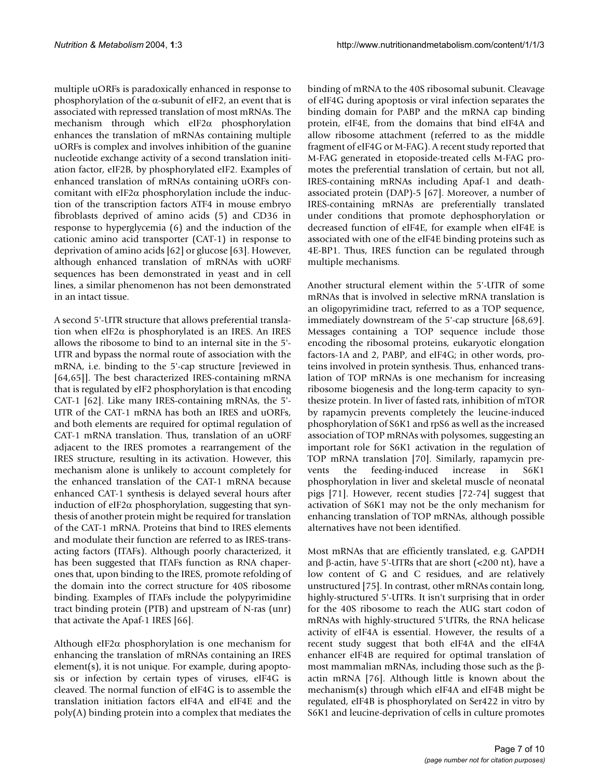multiple uORFs is paradoxically enhanced in response to phosphorylation of the α-subunit of eIF2, an event that is associated with repressed translation of most mRNAs. The mechanism through which eIF2α phosphorylation enhances the translation of mRNAs containing multiple uORFs is complex and involves inhibition of the guanine nucleotide exchange activity of a second translation initiation factor, eIF2B, by phosphorylated eIF2. Examples of enhanced translation of mRNAs containing uORFs concomitant with eIF2α phosphorylation include the induction of the transcription factors ATF4 in mouse embryo fibroblasts deprived of amino acids (5) and CD36 in response to hyperglycemia (6) and the induction of the cationic amino acid transporter (CAT-1) in response to deprivation of amino acids [62] or glucose [63]. However, although enhanced translation of mRNAs with uORF sequences has been demonstrated in yeast and in cell lines, a similar phenomenon has not been demonstrated in an intact tissue.

A second 5'-UTR structure that allows preferential translation when eIF2 $\alpha$  is phosphorylated is an IRES. An IRES allows the ribosome to bind to an internal site in the 5'- UTR and bypass the normal route of association with the mRNA, i.e. binding to the 5'-cap structure [reviewed in [64,65]]. The best characterized IRES-containing mRNA that is regulated by eIF2 phosphorylation is that encoding CAT-1 [62]. Like many IRES-containing mRNAs, the 5'- UTR of the CAT-1 mRNA has both an IRES and uORFs, and both elements are required for optimal regulation of CAT-1 mRNA translation. Thus, translation of an uORF adjacent to the IRES promotes a rearrangement of the IRES structure, resulting in its activation. However, this mechanism alone is unlikely to account completely for the enhanced translation of the CAT-1 mRNA because enhanced CAT-1 synthesis is delayed several hours after induction of eIF2 $\alpha$  phosphorylation, suggesting that synthesis of another protein might be required for translation of the CAT-1 mRNA. Proteins that bind to IRES elements and modulate their function are referred to as IRES-transacting factors (ITAFs). Although poorly characterized, it has been suggested that ITAFs function as RNA chaperones that, upon binding to the IRES, promote refolding of the domain into the correct structure for 40S ribosome binding. Examples of ITAFs include the polypyrimidine tract binding protein (PTB) and upstream of N-ras (unr) that activate the Apaf-1 IRES [66].

Although eIF2α phosphorylation is one mechanism for enhancing the translation of mRNAs containing an IRES element(s), it is not unique. For example, during apoptosis or infection by certain types of viruses, eIF4G is cleaved. The normal function of eIF4G is to assemble the translation initiation factors eIF4A and eIF4E and the poly(A) binding protein into a complex that mediates the

binding of mRNA to the 40S ribosomal subunit. Cleavage of eIF4G during apoptosis or viral infection separates the binding domain for PABP and the mRNA cap binding protein, eIF4E, from the domains that bind eIF4A and allow ribosome attachment (referred to as the middle fragment of eIF4G or M-FAG). A recent study reported that M-FAG generated in etoposide-treated cells M-FAG promotes the preferential translation of certain, but not all, IRES-containing mRNAs including Apaf-1 and deathassociated protein (DAP)-5 [67]. Moreover, a number of IRES-containing mRNAs are preferentially translated under conditions that promote dephosphorylation or decreased function of eIF4E, for example when eIF4E is associated with one of the eIF4E binding proteins such as 4E-BP1. Thus, IRES function can be regulated through multiple mechanisms.

Another structural element within the 5'-UTR of some mRNAs that is involved in selective mRNA translation is an oligopyrimidine tract, referred to as a TOP sequence, immediately downstream of the 5'-cap structure [68,69]. Messages containing a TOP sequence include those encoding the ribosomal proteins, eukaryotic elongation factors-1A and 2, PABP, and eIF4G; in other words, proteins involved in protein synthesis. Thus, enhanced translation of TOP mRNAs is one mechanism for increasing ribosome biogenesis and the long-term capacity to synthesize protein. In liver of fasted rats, inhibition of mTOR by rapamycin prevents completely the leucine-induced phosphorylation of S6K1 and rpS6 as well as the increased association of TOP mRNAs with polysomes, suggesting an important role for S6K1 activation in the regulation of TOP mRNA translation [70]. Similarly, rapamycin prevents the feeding-induced increase in S6K1 phosphorylation in liver and skeletal muscle of neonatal pigs [71]. However, recent studies [72-74] suggest that activation of S6K1 may not be the only mechanism for enhancing translation of TOP mRNAs, although possible alternatives have not been identified.

Most mRNAs that are efficiently translated, e.g. GAPDH and β-actin, have 5'-UTRs that are short  $\left($  <200 nt), have a low content of G and C residues, and are relatively unstructured [75]. In contrast, other mRNAs contain long, highly-structured 5'-UTRs. It isn't surprising that in order for the 40S ribosome to reach the AUG start codon of mRNAs with highly-structured 5'UTRs, the RNA helicase activity of eIF4A is essential. However, the results of a recent study suggest that both eIF4A and the eIF4A enhancer eIF4B are required for optimal translation of most mammalian mRNAs, including those such as the βactin mRNA [76]. Although little is known about the mechanism(s) through which eIF4A and eIF4B might be regulated, eIF4B is phosphorylated on Ser422 in vitro by S6K1 and leucine-deprivation of cells in culture promotes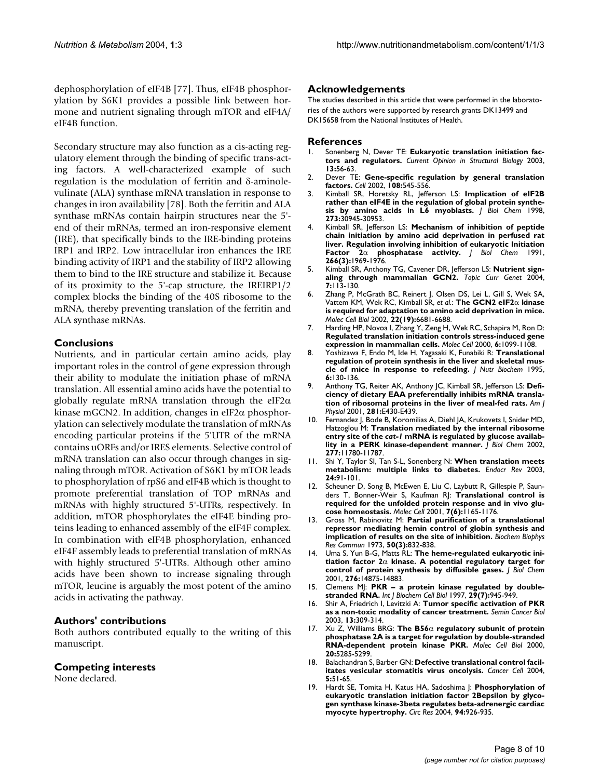dephosphorylation of eIF4B [77]. Thus, eIF4B phosphorylation by S6K1 provides a possible link between hormone and nutrient signaling through mTOR and eIF4A/ eIF4B function.

Secondary structure may also function as a cis-acting regulatory element through the binding of specific trans-acting factors. A well-characterized example of such regulation is the modulation of ferritin and δ-aminolevulinate (ALA) synthase mRNA translation in response to changes in iron availability [78]. Both the ferritin and ALA synthase mRNAs contain hairpin structures near the 5' end of their mRNAs, termed an iron-responsive element (IRE), that specifically binds to the IRE-binding proteins IRP1 and IRP2. Low intracellular iron enhances the IRE binding activity of IRP1 and the stability of IRP2 allowing them to bind to the IRE structure and stabilize it. Because of its proximity to the 5'-cap structure, the IREIRP1/2 complex blocks the binding of the 40S ribosome to the mRNA, thereby preventing translation of the ferritin and ALA synthase mRNAs.

# **Conclusions**

Nutrients, and in particular certain amino acids, play important roles in the control of gene expression through their ability to modulate the initiation phase of mRNA translation. All essential amino acids have the potential to globally regulate mRNA translation through the eIF2 $\alpha$ kinase mGCN2. In addition, changes in eIF2 $\alpha$  phosphorylation can selectively modulate the translation of mRNAs encoding particular proteins if the 5'UTR of the mRNA contains uORFs and/or IRES elements. Selective control of mRNA translation can also occur through changes in signaling through mTOR. Activation of S6K1 by mTOR leads to phosphorylation of rpS6 and eIF4B which is thought to promote preferential translation of TOP mRNAs and mRNAs with highly structured 5'-UTRs, respectively. In addition, mTOR phosphorylates the eIF4E binding proteins leading to enhanced assembly of the eIF4F complex. In combination with eIF4B phosphorylation, enhanced eIF4F assembly leads to preferential translation of mRNAs with highly structured 5'-UTRs. Although other amino acids have been shown to increase signaling through mTOR, leucine is arguably the most potent of the amino acids in activating the pathway.

## **Authors' contributions**

Both authors contributed equally to the writing of this manuscript.

## **Competing interests**

None declared.

## **Acknowledgements**

The studies described in this article that were performed in the laboratories of the authors were supported by research grants DK13499 and DK15658 from the National Institutes of Health.

#### **References**

- Sonenberg N, Dever TE: [Eukaryotic translation initiation fac](http://www.ncbi.nlm.nih.gov/entrez/query.fcgi?cmd=Retrieve&db=PubMed&dopt=Abstract&list_uids=10.1016/S0959-440X(03)00009-5)**[tors and regulators](http://www.ncbi.nlm.nih.gov/entrez/query.fcgi?cmd=Retrieve&db=PubMed&dopt=Abstract&list_uids=10.1016/S0959-440X(03)00009-5)[.](http://www.ncbi.nlm.nih.gov/entrez/query.fcgi?cmd=Retrieve&db=PubMed&dopt=Abstract&list_uids=12581660)** *Current Opinion in Structural Biology* 2003, **13:**56-63.
- 2. Dever TE: **[Gene-specific regulation by general translation](http://www.ncbi.nlm.nih.gov/entrez/query.fcgi?cmd=Retrieve&db=PubMed&dopt=Abstract&list_uids=10.1016/S0092-8674(02)00642-6) [factors](http://www.ncbi.nlm.nih.gov/entrez/query.fcgi?cmd=Retrieve&db=PubMed&dopt=Abstract&list_uids=10.1016/S0092-8674(02)00642-6)[.](http://www.ncbi.nlm.nih.gov/entrez/query.fcgi?cmd=Retrieve&db=PubMed&dopt=Abstract&list_uids=11909525)** *Cell* 2002, **108:**545-556.
- 3. Kimball SR, Horetsky RL, Jefferson LS: **[Implication of eIF2B](http://www.ncbi.nlm.nih.gov/entrez/query.fcgi?cmd=Retrieve&db=PubMed&dopt=Abstract&list_uids=10.1074/jbc.273.47.30945) [rather than eIF4E in the regulation of global protein synthe](http://www.ncbi.nlm.nih.gov/entrez/query.fcgi?cmd=Retrieve&db=PubMed&dopt=Abstract&list_uids=10.1074/jbc.273.47.30945)[sis by amino acids in L6 myoblasts](http://www.ncbi.nlm.nih.gov/entrez/query.fcgi?cmd=Retrieve&db=PubMed&dopt=Abstract&list_uids=10.1074/jbc.273.47.30945)[.](http://www.ncbi.nlm.nih.gov/entrez/query.fcgi?cmd=Retrieve&db=PubMed&dopt=Abstract&list_uids=9812990)** *J Biol Chem* 1998, **273:**30945-30953.
- 4. Kimball SR, Jefferson LS: **Mechanism of inhibition of peptide chain initiation by amino acid deprivation in perfused rat liver. Regulation involving inhibition of eukaryotic Initiation Factor 2**α **[phosphatase activity.](http://www.ncbi.nlm.nih.gov/entrez/query.fcgi?cmd=Retrieve&db=PubMed&dopt=Abstract&list_uids=1671047)** *J Biol Chem* 1991, **266(3):**1969-1976.
- 5. Kimball SR, Anthony TG, Cavener DR, Jefferson LS: **Nutrient signaling through mammalian GCN2.** *Topic Curr Genet* 2004, **7:**113-130.
- Zhang P, McGrath BC, Reinert J, Olsen DS, Lei L, Gill S, Wek SA, Vattem KM, Wek RC, Kimball SR, *et al.*: **The GCN2 eIF2**α **[kinase](http://www.ncbi.nlm.nih.gov/entrez/query.fcgi?cmd=Retrieve&db=PubMed&dopt=Abstract&list_uids=134046) [is required for adaptation to amino acid deprivation in mice](http://www.ncbi.nlm.nih.gov/entrez/query.fcgi?cmd=Retrieve&db=PubMed&dopt=Abstract&list_uids=134046)[.](http://www.ncbi.nlm.nih.gov/entrez/query.fcgi?cmd=Retrieve&db=PubMed&dopt=Abstract&list_uids=10.1128/MCB.22.19.6681-6688.2002)** *Molec Cell Biol* 2002, **22(19):**6681-6688.
- 7. Harding HP, Novoa I, Zhang Y, Zeng H, Wek RC, Schapira M, Ron D: **[Regulated translation initiation controls stress-induced gene](http://www.ncbi.nlm.nih.gov/entrez/query.fcgi?cmd=Retrieve&db=PubMed&dopt=Abstract&list_uids=10.1016/S1097-2765(00)00108-8) [expression in mammalian cells](http://www.ncbi.nlm.nih.gov/entrez/query.fcgi?cmd=Retrieve&db=PubMed&dopt=Abstract&list_uids=10.1016/S1097-2765(00)00108-8)[.](http://www.ncbi.nlm.nih.gov/entrez/query.fcgi?cmd=Retrieve&db=PubMed&dopt=Abstract&list_uids=11106749)** *Molec Cell* 2000, **6:**1099-1108.
- 8. Yoshizawa F, Endo M, Ide H, Yagasaki K, Funabiki R: **[Translational](http://www.ncbi.nlm.nih.gov/entrez/query.fcgi?cmd=Retrieve&db=PubMed&dopt=Abstract&list_uids=10.1016/0955-2863(95)00018-U) [regulation of protein synthesis in the liver and skeletal mus](http://www.ncbi.nlm.nih.gov/entrez/query.fcgi?cmd=Retrieve&db=PubMed&dopt=Abstract&list_uids=10.1016/0955-2863(95)00018-U)[cle of mice in response to refeeding.](http://www.ncbi.nlm.nih.gov/entrez/query.fcgi?cmd=Retrieve&db=PubMed&dopt=Abstract&list_uids=10.1016/0955-2863(95)00018-U)** *J Nutr Biochem* 1995, **6:**130-136.
- 9. Anthony TG, Reiter AK, Anthony JC, Kimball SR, Jefferson LS: **Deficiency of dietary EAA preferentially inhibits mRNA translation of ribosomal proteins in the liver of meal-fed rats.** *Am J Physiol* 2001, **281:**E430-E439.
- <span id="page-7-0"></span>10. Fernandez J, Bode B, Koromilias A, Diehl JA, Krukovets I, Snider MD, Hatzoglou M: **Translation mediated by the internal ribosome entry site of the** *cat-1* **[mRNA is regulated by glucose availab](http://www.ncbi.nlm.nih.gov/entrez/query.fcgi?cmd=Retrieve&db=PubMed&dopt=Abstract&list_uids=10.1074/jbc.M110778200)[lity in a PERK kinase-dependent manner](http://www.ncbi.nlm.nih.gov/entrez/query.fcgi?cmd=Retrieve&db=PubMed&dopt=Abstract&list_uids=10.1074/jbc.M110778200)[.](http://www.ncbi.nlm.nih.gov/entrez/query.fcgi?cmd=Retrieve&db=PubMed&dopt=Abstract&list_uids=11781318)** *J Biol Chem* 2002, **277:**11780-11787.
- 11. Shi Y, Taylor SI, Tan S-L, Sonenberg N: **[When translation meets](http://www.ncbi.nlm.nih.gov/entrez/query.fcgi?cmd=Retrieve&db=PubMed&dopt=Abstract&list_uids=12588811) [metabolism: multiple links to diabetes](http://www.ncbi.nlm.nih.gov/entrez/query.fcgi?cmd=Retrieve&db=PubMed&dopt=Abstract&list_uids=12588811)[.](http://www.ncbi.nlm.nih.gov/entrez/query.fcgi?cmd=Retrieve&db=PubMed&dopt=Abstract&list_uids=10.1210/er.2002-0018)** *Endocr Rev* 2003, **24:**91-101.
- 12. Scheuner D, Song B, McEwen E, Liu C, Laybutt R, Gillespie P, Saunders T, Bonner-Weir S, Kaufman RJ: **[Translational control is](http://www.ncbi.nlm.nih.gov/entrez/query.fcgi?cmd=Retrieve&db=PubMed&dopt=Abstract&list_uids=10.1016/S1097-2765(01)00265-9) [required for the unfolded protein response and in vivo glu](http://www.ncbi.nlm.nih.gov/entrez/query.fcgi?cmd=Retrieve&db=PubMed&dopt=Abstract&list_uids=10.1016/S1097-2765(01)00265-9)[cose homeostasis](http://www.ncbi.nlm.nih.gov/entrez/query.fcgi?cmd=Retrieve&db=PubMed&dopt=Abstract&list_uids=10.1016/S1097-2765(01)00265-9)[.](http://www.ncbi.nlm.nih.gov/entrez/query.fcgi?cmd=Retrieve&db=PubMed&dopt=Abstract&list_uids=11430820)** *Molec Cell* 2001, **7(6):**1165-1176.
- 13. Gross M, Rabinovitz M: **[Partial purification of a translational](http://www.ncbi.nlm.nih.gov/entrez/query.fcgi?cmd=Retrieve&db=PubMed&dopt=Abstract&list_uids=4689080) [repressor mediating hemin control of globin synthesis and](http://www.ncbi.nlm.nih.gov/entrez/query.fcgi?cmd=Retrieve&db=PubMed&dopt=Abstract&list_uids=4689080) [implication of results on the site of inhibition.](http://www.ncbi.nlm.nih.gov/entrez/query.fcgi?cmd=Retrieve&db=PubMed&dopt=Abstract&list_uids=4689080)** *Biochem Biophys Res Commun* 1973, **50(3):**832-838.
- 14. Uma S, Yun B-G, Matts RL: **The heme-regulated eukaryotic initiation factor 2**α **[kinase. A potential regulatory target for](http://www.ncbi.nlm.nih.gov/entrez/query.fcgi?cmd=Retrieve&db=PubMed&dopt=Abstract&list_uids=10.1074/jbc.M011476200) [control of protein synthesis by diffusible gases](http://www.ncbi.nlm.nih.gov/entrez/query.fcgi?cmd=Retrieve&db=PubMed&dopt=Abstract&list_uids=10.1074/jbc.M011476200)[.](http://www.ncbi.nlm.nih.gov/entrez/query.fcgi?cmd=Retrieve&db=PubMed&dopt=Abstract&list_uids=11278914)** *J Biol Chem* 2001, **276:**14875-14883.
- 15. Clemens MJ: **[PKR a protein kinase regulated by double](http://www.ncbi.nlm.nih.gov/entrez/query.fcgi?cmd=Retrieve&db=PubMed&dopt=Abstract&list_uids=10.1016/S1357-2725(96)00169-0)[stranded RNA](http://www.ncbi.nlm.nih.gov/entrez/query.fcgi?cmd=Retrieve&db=PubMed&dopt=Abstract&list_uids=10.1016/S1357-2725(96)00169-0)[.](http://www.ncbi.nlm.nih.gov/entrez/query.fcgi?cmd=Retrieve&db=PubMed&dopt=Abstract&list_uids=9375375)** *Int J Biochem Cell Biol* 1997, **29(7):**945-949.
- 16. Shir A, Friedrich I, Levitzki A: **[Tumor specific activation of PKR](http://www.ncbi.nlm.nih.gov/entrez/query.fcgi?cmd=Retrieve&db=PubMed&dopt=Abstract&list_uids=14563126) [as a non-toxic modality of cancer treatment](http://www.ncbi.nlm.nih.gov/entrez/query.fcgi?cmd=Retrieve&db=PubMed&dopt=Abstract&list_uids=14563126)[.](http://www.ncbi.nlm.nih.gov/entrez/query.fcgi?cmd=Retrieve&db=PubMed&dopt=Abstract&list_uids=10.1016/S1044-579X(03)00045-2)** *Semin Cancer Biol* 2003, **13:**309-314.
- 17. Xu Z, Williams BRG: **The B56**α **[regulatory subunit of protein](http://www.ncbi.nlm.nih.gov/entrez/query.fcgi?cmd=Retrieve&db=PubMed&dopt=Abstract&list_uids=85978) [phosphatase 2A is a target for regulation by double-stranded](http://www.ncbi.nlm.nih.gov/entrez/query.fcgi?cmd=Retrieve&db=PubMed&dopt=Abstract&list_uids=85978) [RNA-dependent protein kinase PKR](http://www.ncbi.nlm.nih.gov/entrez/query.fcgi?cmd=Retrieve&db=PubMed&dopt=Abstract&list_uids=85978)[.](http://www.ncbi.nlm.nih.gov/entrez/query.fcgi?cmd=Retrieve&db=PubMed&dopt=Abstract&list_uids=10.1128/MCB.20.14.5285-5299.2000)** *Molec Cell Biol* 2000, **20:**5285-5299.
- 18. Balachandran S, Barber GN: **[Defective translational control facil](http://www.ncbi.nlm.nih.gov/entrez/query.fcgi?cmd=Retrieve&db=PubMed&dopt=Abstract&list_uids=10.1016/S1535-6108(03)00330-1)[itates vesicular stomatitis virus oncolysis](http://www.ncbi.nlm.nih.gov/entrez/query.fcgi?cmd=Retrieve&db=PubMed&dopt=Abstract&list_uids=10.1016/S1535-6108(03)00330-1)[.](http://www.ncbi.nlm.nih.gov/entrez/query.fcgi?cmd=Retrieve&db=PubMed&dopt=Abstract&list_uids=14749126)** *Cancer Cell* 2004, **5:**51-65.
- 19. Hardt SE, Tomita H, Katus HA, Sadoshima J: **[Phosphorylation of](http://www.ncbi.nlm.nih.gov/entrez/query.fcgi?cmd=Retrieve&db=PubMed&dopt=Abstract&list_uids=10.1161/01.RES.0000124977.59827.80) eukaryotic translation initiation factor 2Bepsilon by glyco[gen synthase kinase-3beta regulates beta-adrenergic cardiac](http://www.ncbi.nlm.nih.gov/entrez/query.fcgi?cmd=Retrieve&db=PubMed&dopt=Abstract&list_uids=10.1161/01.RES.0000124977.59827.80) [myocyte hypertrophy](http://www.ncbi.nlm.nih.gov/entrez/query.fcgi?cmd=Retrieve&db=PubMed&dopt=Abstract&list_uids=10.1161/01.RES.0000124977.59827.80)[.](http://www.ncbi.nlm.nih.gov/entrez/query.fcgi?cmd=Retrieve&db=PubMed&dopt=Abstract&list_uids=15001529)** *Circ Res* 2004, **94:**926-935.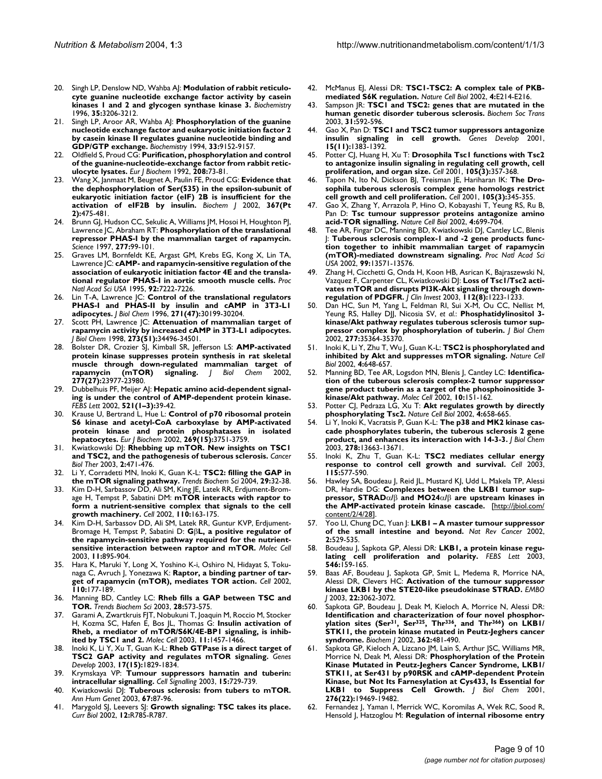- 20. Singh LP, Denslow ND, Wahba AJ: **[Modulation of rabbit reticulo](http://www.ncbi.nlm.nih.gov/entrez/query.fcgi?cmd=Retrieve&db=PubMed&dopt=Abstract&list_uids=10.1021/bi9522099)[cyte guanine nucleotide exchange factor activity by casein](http://www.ncbi.nlm.nih.gov/entrez/query.fcgi?cmd=Retrieve&db=PubMed&dopt=Abstract&list_uids=10.1021/bi9522099) [kinases 1 and 2 and glycogen synthase kinase 3](http://www.ncbi.nlm.nih.gov/entrez/query.fcgi?cmd=Retrieve&db=PubMed&dopt=Abstract&list_uids=10.1021/bi9522099)[.](http://www.ncbi.nlm.nih.gov/entrez/query.fcgi?cmd=Retrieve&db=PubMed&dopt=Abstract&list_uids=8605155)** *Biochemistry* 1996, **35:**3206-3212.
- 21. Singh LP, Aroor AR, Wahba AJ: **[Phosphorylation of the guanine](http://www.ncbi.nlm.nih.gov/entrez/query.fcgi?cmd=Retrieve&db=PubMed&dopt=Abstract&list_uids=8049218) nucleotide exchange factor and eukaryotic initiation factor 2 [by casein kinase II regulates guanine nucleotide binding and](http://www.ncbi.nlm.nih.gov/entrez/query.fcgi?cmd=Retrieve&db=PubMed&dopt=Abstract&list_uids=8049218) [GDP/GTP exchange.](http://www.ncbi.nlm.nih.gov/entrez/query.fcgi?cmd=Retrieve&db=PubMed&dopt=Abstract&list_uids=8049218)** *Biochemistry* 1994, **33:**9152-9157.
- 22. Oldfield S, Proud CG: **[Purification, phosphorylation and control](http://www.ncbi.nlm.nih.gov/entrez/query.fcgi?cmd=Retrieve&db=PubMed&dopt=Abstract&list_uids=1511690) [of the guanine-nucleotide-exchange factor from rabbit retic](http://www.ncbi.nlm.nih.gov/entrez/query.fcgi?cmd=Retrieve&db=PubMed&dopt=Abstract&list_uids=1511690)[ulocyte lysates.](http://www.ncbi.nlm.nih.gov/entrez/query.fcgi?cmd=Retrieve&db=PubMed&dopt=Abstract&list_uids=1511690)** *Eur J Biochem* 1992, **208:**73-81.
- 23. Wang X, Janmaat M, Beugnet A, Paulin FE, Proud CG: **[Evidence that](http://www.ncbi.nlm.nih.gov/entrez/query.fcgi?cmd=Retrieve&db=PubMed&dopt=Abstract&list_uids=10.1042/BJ20020677) [the dephosphorylation of Ser\(535\) in the epsilon-subunit of](http://www.ncbi.nlm.nih.gov/entrez/query.fcgi?cmd=Retrieve&db=PubMed&dopt=Abstract&list_uids=10.1042/BJ20020677) eukaryotic initiation factor (eIF) 2B is insufficient for the [activation of eIF2B by insulin](http://www.ncbi.nlm.nih.gov/entrez/query.fcgi?cmd=Retrieve&db=PubMed&dopt=Abstract&list_uids=10.1042/BJ20020677)[.](http://www.ncbi.nlm.nih.gov/entrez/query.fcgi?cmd=Retrieve&db=PubMed&dopt=Abstract&list_uids=12133000)** *Biochem J* 2002, **367(Pt 2):**475-481.
- 24. Brunn GJ, Hudson CC, Sekulic A, Williams JM, Hosoi H, Houghton PJ, Lawrence JC, Abraham RT: **[Phosphorylation of the translational](http://www.ncbi.nlm.nih.gov/entrez/query.fcgi?cmd=Retrieve&db=PubMed&dopt=Abstract&list_uids=10.1126/science.277.5322.99) [repressor PHAS-I by the mammalian target of rapamycin](http://www.ncbi.nlm.nih.gov/entrez/query.fcgi?cmd=Retrieve&db=PubMed&dopt=Abstract&list_uids=10.1126/science.277.5322.99)[.](http://www.ncbi.nlm.nih.gov/entrez/query.fcgi?cmd=Retrieve&db=PubMed&dopt=Abstract&list_uids=9204908)** *Science* 1997, **277:**99-101.
- 25. Graves LM, Bornfeldt KE, Argast GM, Krebs EG, Kong X, Lin TA, Lawrence JC: **[cAMP- and rapamycin-sensitive regulation of the](http://www.ncbi.nlm.nih.gov/entrez/query.fcgi?cmd=Retrieve&db=PubMed&dopt=Abstract&list_uids=41311) [association of eukaryotic initiation factor 4E and the transla](http://www.ncbi.nlm.nih.gov/entrez/query.fcgi?cmd=Retrieve&db=PubMed&dopt=Abstract&list_uids=41311)[tional regulator PHAS-I in aortic smooth muscle cells](http://www.ncbi.nlm.nih.gov/entrez/query.fcgi?cmd=Retrieve&db=PubMed&dopt=Abstract&list_uids=41311)[.](http://www.ncbi.nlm.nih.gov/entrez/query.fcgi?cmd=Retrieve&db=PubMed&dopt=Abstract&list_uids=7638171)** *Proc Natl Acad Sci USA* 1995, **92:**7222-7226.
- 26. Lin T-A, Lawrence JC: **[Control of the translational regulators](http://www.ncbi.nlm.nih.gov/entrez/query.fcgi?cmd=Retrieve&db=PubMed&dopt=Abstract&list_uids=10.1074/jbc.271.47.30199) [PHAS-I and PHAS-II by insulin and cAMP in 3T3-L1](http://www.ncbi.nlm.nih.gov/entrez/query.fcgi?cmd=Retrieve&db=PubMed&dopt=Abstract&list_uids=10.1074/jbc.271.47.30199) [adipocytes](http://www.ncbi.nlm.nih.gov/entrez/query.fcgi?cmd=Retrieve&db=PubMed&dopt=Abstract&list_uids=10.1074/jbc.271.47.30199)[.](http://www.ncbi.nlm.nih.gov/entrez/query.fcgi?cmd=Retrieve&db=PubMed&dopt=Abstract&list_uids=8939971)** *J Biol Chem* 1996, **271(47):**30199-30204.
- 27. Scott PH, Lawrence JC: **[Attenuation of mammalian target of](http://www.ncbi.nlm.nih.gov/entrez/query.fcgi?cmd=Retrieve&db=PubMed&dopt=Abstract&list_uids=10.1074/jbc.273.51.34496) [rapamycin activity by increased cAMP in 3T3-L1 adipocytes](http://www.ncbi.nlm.nih.gov/entrez/query.fcgi?cmd=Retrieve&db=PubMed&dopt=Abstract&list_uids=10.1074/jbc.273.51.34496)[.](http://www.ncbi.nlm.nih.gov/entrez/query.fcgi?cmd=Retrieve&db=PubMed&dopt=Abstract&list_uids=9852118)** *J Biol Chem* 1998, **273(51):**34496-34501.
- 28. Bolster DR, Crozier SJ, Kimball SR, Jefferson LS: **[AMP-activated](http://www.ncbi.nlm.nih.gov/entrez/query.fcgi?cmd=Retrieve&db=PubMed&dopt=Abstract&list_uids=10.1074/jbc.C200171200) [protein kinase suppresses protein synthesis in rat skeletal](http://www.ncbi.nlm.nih.gov/entrez/query.fcgi?cmd=Retrieve&db=PubMed&dopt=Abstract&list_uids=10.1074/jbc.C200171200) muscle through down-regulated mammalian target of [rapamycin \(mTOR\) signaling](http://www.ncbi.nlm.nih.gov/entrez/query.fcgi?cmd=Retrieve&db=PubMed&dopt=Abstract&list_uids=10.1074/jbc.C200171200)[.](http://www.ncbi.nlm.nih.gov/entrez/query.fcgi?cmd=Retrieve&db=PubMed&dopt=Abstract&list_uids=11997383)** *J Biol Chem* 2002, **277(27):**23977-23980.
- Dubbelhuis PF, Meijer AJ: [Hepatic amino acid-dependent signal](http://www.ncbi.nlm.nih.gov/entrez/query.fcgi?cmd=Retrieve&db=PubMed&dopt=Abstract&list_uids=10.1016/S0014-5793(02)02815-6)**[ing is under the control of AMP-dependent protein kinase](http://www.ncbi.nlm.nih.gov/entrez/query.fcgi?cmd=Retrieve&db=PubMed&dopt=Abstract&list_uids=10.1016/S0014-5793(02)02815-6)[.](http://www.ncbi.nlm.nih.gov/entrez/query.fcgi?cmd=Retrieve&db=PubMed&dopt=Abstract&list_uids=12067722)** *FEBS Lett* 2002, **521(1–3):**39-42.
- 30. Krause U, Bertrand L, Hue L: **[Control of p70 ribosomal protein](http://www.ncbi.nlm.nih.gov/entrez/query.fcgi?cmd=Retrieve&db=PubMed&dopt=Abstract&list_uids=10.1046/j.1432-1033.2002.03074.x) [S6 kinase and acetyl-CoA carboxylase by AMP-activated](http://www.ncbi.nlm.nih.gov/entrez/query.fcgi?cmd=Retrieve&db=PubMed&dopt=Abstract&list_uids=10.1046/j.1432-1033.2002.03074.x) protein kinase and protein phosphatases in isolated [hepatocytes](http://www.ncbi.nlm.nih.gov/entrez/query.fcgi?cmd=Retrieve&db=PubMed&dopt=Abstract&list_uids=10.1046/j.1432-1033.2002.03074.x)[.](http://www.ncbi.nlm.nih.gov/entrez/query.fcgi?cmd=Retrieve&db=PubMed&dopt=Abstract&list_uids=12153572)** *Eur J Biochem* 2002, **269(15):**3751-3759.
- 31. Kwiatkowski DJ: **[Rhebbing up mTOR. New insights on TSC1](http://www.ncbi.nlm.nih.gov/entrez/query.fcgi?cmd=Retrieve&db=PubMed&dopt=Abstract&list_uids=14614311) [and TSC2, and the pathogenesis of tuberous sclerosis.](http://www.ncbi.nlm.nih.gov/entrez/query.fcgi?cmd=Retrieve&db=PubMed&dopt=Abstract&list_uids=14614311)** *Cancer Biol Ther* 2003, **2:**471-476.
- 32. Li Y, Corradetti MN, Inoki K, Guan K-L: **[TSC2: filling the GAP in](http://www.ncbi.nlm.nih.gov/entrez/query.fcgi?cmd=Retrieve&db=PubMed&dopt=Abstract&list_uids=10.1016/j.tibs.2003.11.007) [the mTOR signaling pathway](http://www.ncbi.nlm.nih.gov/entrez/query.fcgi?cmd=Retrieve&db=PubMed&dopt=Abstract&list_uids=10.1016/j.tibs.2003.11.007)[.](http://www.ncbi.nlm.nih.gov/entrez/query.fcgi?cmd=Retrieve&db=PubMed&dopt=Abstract&list_uids=14729330)** *Trends Biochem Sci* 2004, **29:**32-38.
- 33. Kim D-H, Sarbassov DD, Ali SM, King JE, Latek RR, Erdjument-Bromage H, Tempst P, Sabatini DM: **[mTOR interacts with raptor to](http://www.ncbi.nlm.nih.gov/entrez/query.fcgi?cmd=Retrieve&db=PubMed&dopt=Abstract&list_uids=10.1016/S0092-8674(02)00808-5) [form a nutrient-sensitive complex that signals to the cell](http://www.ncbi.nlm.nih.gov/entrez/query.fcgi?cmd=Retrieve&db=PubMed&dopt=Abstract&list_uids=10.1016/S0092-8674(02)00808-5) [growth machinery](http://www.ncbi.nlm.nih.gov/entrez/query.fcgi?cmd=Retrieve&db=PubMed&dopt=Abstract&list_uids=10.1016/S0092-8674(02)00808-5)[.](http://www.ncbi.nlm.nih.gov/entrez/query.fcgi?cmd=Retrieve&db=PubMed&dopt=Abstract&list_uids=12150925)** *Cell* 2002, **110:**163-175.
- 34. Kim D-H, Sarbassov DD, Ali SM, Latek RR, Guntur KVP, Erdjument-Bromage H, Tempst P, Sabatini D: **G**β**[L, a positive regulator of](http://www.ncbi.nlm.nih.gov/entrez/query.fcgi?cmd=Retrieve&db=PubMed&dopt=Abstract&list_uids=10.1016/S1097-2765(03)00114-X) [the rapamycin-sensitive pathway required for the nutrient](http://www.ncbi.nlm.nih.gov/entrez/query.fcgi?cmd=Retrieve&db=PubMed&dopt=Abstract&list_uids=10.1016/S1097-2765(03)00114-X)[sensitive interaction between raptor and mTOR](http://www.ncbi.nlm.nih.gov/entrez/query.fcgi?cmd=Retrieve&db=PubMed&dopt=Abstract&list_uids=10.1016/S1097-2765(03)00114-X)[.](http://www.ncbi.nlm.nih.gov/entrez/query.fcgi?cmd=Retrieve&db=PubMed&dopt=Abstract&list_uids=12718876)** *Molec Cell* 2003, **11:**895-904.
- 35. Hara K, Maruki Y, Long X, Yoshino K-i, Oshiro N, Hidayat S, Tokunaga C, Avruch J, Yonezawa K: **[Raptor, a binding partner of tar](http://www.ncbi.nlm.nih.gov/entrez/query.fcgi?cmd=Retrieve&db=PubMed&dopt=Abstract&list_uids=10.1016/S0092-8674(02)00833-4)[get of rapamycin \(mTOR\), mediates TOR action](http://www.ncbi.nlm.nih.gov/entrez/query.fcgi?cmd=Retrieve&db=PubMed&dopt=Abstract&list_uids=10.1016/S0092-8674(02)00833-4)[.](http://www.ncbi.nlm.nih.gov/entrez/query.fcgi?cmd=Retrieve&db=PubMed&dopt=Abstract&list_uids=12150926)** *Cell* 2002, **110:**177-189.
- 36. Manning BD, Cantley LC: **[Rheb fills a GAP between TSC and](http://www.ncbi.nlm.nih.gov/entrez/query.fcgi?cmd=Retrieve&db=PubMed&dopt=Abstract&list_uids=10.1016/j.tibs.2003.09.003) [TOR](http://www.ncbi.nlm.nih.gov/entrez/query.fcgi?cmd=Retrieve&db=PubMed&dopt=Abstract&list_uids=10.1016/j.tibs.2003.09.003)[.](http://www.ncbi.nlm.nih.gov/entrez/query.fcgi?cmd=Retrieve&db=PubMed&dopt=Abstract&list_uids=14607085)** *Trends Biochem Sci* 2003, **28:**573-575.
- Garami A, Zwartkruis FJT, Nobukuni T, Joaquin M, Roccio M, Stocker H, Kozma SC, Hafen E, Bos JL, Thomas G: **[Insulin activation of](http://www.ncbi.nlm.nih.gov/entrez/query.fcgi?cmd=Retrieve&db=PubMed&dopt=Abstract&list_uids=10.1016/S1097-2765(03)00220-X) [Rheb, a mediator of mTOR/S6K/4E-BP1 signaling, is inhib](http://www.ncbi.nlm.nih.gov/entrez/query.fcgi?cmd=Retrieve&db=PubMed&dopt=Abstract&list_uids=10.1016/S1097-2765(03)00220-X)[ited by TSC1 and 2](http://www.ncbi.nlm.nih.gov/entrez/query.fcgi?cmd=Retrieve&db=PubMed&dopt=Abstract&list_uids=10.1016/S1097-2765(03)00220-X)[.](http://www.ncbi.nlm.nih.gov/entrez/query.fcgi?cmd=Retrieve&db=PubMed&dopt=Abstract&list_uids=12820960)** *Molec Cell* 2003, **11:**1457-1466.
- 38. Inoki K, Li Y, Xu T, Guan K-L: **[Rheb GTPase is a direct target of](http://www.ncbi.nlm.nih.gov/entrez/query.fcgi?cmd=Retrieve&db=PubMed&dopt=Abstract&list_uids=196227) [TSC2 GAP activity and regulates mTOR signaling](http://www.ncbi.nlm.nih.gov/entrez/query.fcgi?cmd=Retrieve&db=PubMed&dopt=Abstract&list_uids=196227)[.](http://www.ncbi.nlm.nih.gov/entrez/query.fcgi?cmd=Retrieve&db=PubMed&dopt=Abstract&list_uids=10.1101/gad.1110003)** *Genes Develop* 2003, **17(15):**1829-1834.
- 39. Krymskaya VP: **[Tumour suppressors hamatin and tuberin:](http://www.ncbi.nlm.nih.gov/entrez/query.fcgi?cmd=Retrieve&db=PubMed&dopt=Abstract&list_uids=12781866) [intracellular signalling.](http://www.ncbi.nlm.nih.gov/entrez/query.fcgi?cmd=Retrieve&db=PubMed&dopt=Abstract&list_uids=12781866)** *Cell Signalling* 2003, **15:**729-739.
- Kwiatkowski DJ: [Tuberous sclerosis: from tubers to mTOR](http://www.ncbi.nlm.nih.gov/entrez/query.fcgi?cmd=Retrieve&db=PubMed&dopt=Abstract&list_uids=12556239)[.](http://www.ncbi.nlm.nih.gov/entrez/query.fcgi?cmd=Retrieve&db=PubMed&dopt=Abstract&list_uids=10.1046/j.1469-1809.2003.00012.x) *Ann Hum Genet* 2003, **67:**87-96.
- 41. Marygold SJ, Leevers SJ: **[Growth signaling: TSC takes its place](http://www.ncbi.nlm.nih.gov/entrez/query.fcgi?cmd=Retrieve&db=PubMed&dopt=Abstract&list_uids=10.1016/S0960-9822(02)01294-0)[.](http://www.ncbi.nlm.nih.gov/entrez/query.fcgi?cmd=Retrieve&db=PubMed&dopt=Abstract&list_uids=12445406)** *Curr Biol* 2002, **12:**R785-R787.
- 42. McManus El, Alessi DR: TSCI-TSC2: A complex tale of PKB**[mediated S6K regulation](http://www.ncbi.nlm.nih.gov/entrez/query.fcgi?cmd=Retrieve&db=PubMed&dopt=Abstract&list_uids=10.1038/ncb0902-e214)[.](http://www.ncbi.nlm.nih.gov/entrez/query.fcgi?cmd=Retrieve&db=PubMed&dopt=Abstract&list_uids=12205484)** *Nature Cell Biol* 2002, **4:**E214-E216.
- 43. Sampson JR: **[TSC1 and TSC2: genes that are mutated in the](http://www.ncbi.nlm.nih.gov/entrez/query.fcgi?cmd=Retrieve&db=PubMed&dopt=Abstract&list_uids=10.1042/BST0310592) [human genetic disorder tuberous sclerosis](http://www.ncbi.nlm.nih.gov/entrez/query.fcgi?cmd=Retrieve&db=PubMed&dopt=Abstract&list_uids=10.1042/BST0310592)[.](http://www.ncbi.nlm.nih.gov/entrez/query.fcgi?cmd=Retrieve&db=PubMed&dopt=Abstract&list_uids=12773162)** *Biochem Soc Trans* 2003, **31:**592-596.
- 44. Gao X, Pan D: **[TSC1 and TSC2 tumor suppressors antagonize](http://www.ncbi.nlm.nih.gov/entrez/query.fcgi?cmd=Retrieve&db=PubMed&dopt=Abstract&list_uids=10.1101/gad.901101) [insulin signaling in cell growth](http://www.ncbi.nlm.nih.gov/entrez/query.fcgi?cmd=Retrieve&db=PubMed&dopt=Abstract&list_uids=10.1101/gad.901101)[.](http://www.ncbi.nlm.nih.gov/entrez/query.fcgi?cmd=Retrieve&db=PubMed&dopt=Abstract&list_uids=11390358)** *Genes Develop* 2001, **15(11):**1383-1392.
- 45. Potter CJ, Huang H, Xu T: **[Drosophila Tsc1 functions with Tsc2](http://www.ncbi.nlm.nih.gov/entrez/query.fcgi?cmd=Retrieve&db=PubMed&dopt=Abstract&list_uids=10.1016/S0092-8674(01)00333-6) [to antagonize insulin signaling in regulating cell growth, cell](http://www.ncbi.nlm.nih.gov/entrez/query.fcgi?cmd=Retrieve&db=PubMed&dopt=Abstract&list_uids=10.1016/S0092-8674(01)00333-6) [proliferation, and organ size](http://www.ncbi.nlm.nih.gov/entrez/query.fcgi?cmd=Retrieve&db=PubMed&dopt=Abstract&list_uids=10.1016/S0092-8674(01)00333-6)[.](http://www.ncbi.nlm.nih.gov/entrez/query.fcgi?cmd=Retrieve&db=PubMed&dopt=Abstract&list_uids=11348592)** *Cell* 2001, **105(3):**357-368.
- 46. Tapon N, Ito N, Dickson BJ, Treisman JE, Hariharan IK: **[The Dro](http://www.ncbi.nlm.nih.gov/entrez/query.fcgi?cmd=Retrieve&db=PubMed&dopt=Abstract&list_uids=10.1016/S0092-8674(01)00332-4)[sophila tuberous sclerosis complex gene homologs restrict](http://www.ncbi.nlm.nih.gov/entrez/query.fcgi?cmd=Retrieve&db=PubMed&dopt=Abstract&list_uids=10.1016/S0092-8674(01)00332-4) [cell growth and cell proliferation](http://www.ncbi.nlm.nih.gov/entrez/query.fcgi?cmd=Retrieve&db=PubMed&dopt=Abstract&list_uids=10.1016/S0092-8674(01)00332-4)[.](http://www.ncbi.nlm.nih.gov/entrez/query.fcgi?cmd=Retrieve&db=PubMed&dopt=Abstract&list_uids=11348591)** *Cell* 2001, **105(3):**345-355.
- 47. Gao X, Zhang Y, Arrazola P, Hino O, Kobayashi T, Yeung RS, Ru B, Pan D: **[Tsc tumour suppressor proteins antagonize amino](http://www.ncbi.nlm.nih.gov/entrez/query.fcgi?cmd=Retrieve&db=PubMed&dopt=Abstract&list_uids=10.1038/ncb847) [acid-TOR signalling](http://www.ncbi.nlm.nih.gov/entrez/query.fcgi?cmd=Retrieve&db=PubMed&dopt=Abstract&list_uids=10.1038/ncb847)[.](http://www.ncbi.nlm.nih.gov/entrez/query.fcgi?cmd=Retrieve&db=PubMed&dopt=Abstract&list_uids=12172555)** *Nature Cell Biol* 2002, **4:**699-704.
- Tee AR, Fingar DC, Manning BD, Kwiatkowski DJ, Cantley LC, Blenis J: **[Tuberous sclerosis complex-1 and -2 gene products func](http://www.ncbi.nlm.nih.gov/entrez/query.fcgi?cmd=Retrieve&db=PubMed&dopt=Abstract&list_uids=129715)[tion together to inhibit mammalian target of rapamycin](http://www.ncbi.nlm.nih.gov/entrez/query.fcgi?cmd=Retrieve&db=PubMed&dopt=Abstract&list_uids=129715) [\(mTOR\)-mediated downstream signaling](http://www.ncbi.nlm.nih.gov/entrez/query.fcgi?cmd=Retrieve&db=PubMed&dopt=Abstract&list_uids=129715)[.](http://www.ncbi.nlm.nih.gov/entrez/query.fcgi?cmd=Retrieve&db=PubMed&dopt=Abstract&list_uids=10.1073/pnas.202476899)** *Proc Natl Acad Sci USA* 2002, **99:**13571-13576.
- 49. Zhang H, Cicchetti G, Onda H, Koon HB, Asrican K, Bajraszewski N, Vazquez F, Carpenter CL, Kwiatkowski DJ: **[Loss of Tsc1/Tsc2 acti](http://www.ncbi.nlm.nih.gov/entrez/query.fcgi?cmd=Retrieve&db=PubMed&dopt=Abstract&list_uids=213485)[vates mTOR and disrupts PI3K-Akt signaling through down](http://www.ncbi.nlm.nih.gov/entrez/query.fcgi?cmd=Retrieve&db=PubMed&dopt=Abstract&list_uids=213485)[regulation of PDGFR](http://www.ncbi.nlm.nih.gov/entrez/query.fcgi?cmd=Retrieve&db=PubMed&dopt=Abstract&list_uids=213485)[.](http://www.ncbi.nlm.nih.gov/entrez/query.fcgi?cmd=Retrieve&db=PubMed&dopt=Abstract&list_uids=10.1172/JCI200317222)** *J Clin Invest* 2003, **112(8):**1223-1233.
- Dan HC, Sun M, Yang L, Feldman RI, Sui X-M, Ou CC, Nellist M, Yeung RS, Halley DJJ, Nicosia SV, *et al.*: **[Phosphatidylinositol 3](http://www.ncbi.nlm.nih.gov/entrez/query.fcgi?cmd=Retrieve&db=PubMed&dopt=Abstract&list_uids=10.1074/jbc.M205838200) [kinase/Akt pathway regulates tuberous sclerosis tumor sup](http://www.ncbi.nlm.nih.gov/entrez/query.fcgi?cmd=Retrieve&db=PubMed&dopt=Abstract&list_uids=10.1074/jbc.M205838200)[pressor complex by phosphorylation of tuberin](http://www.ncbi.nlm.nih.gov/entrez/query.fcgi?cmd=Retrieve&db=PubMed&dopt=Abstract&list_uids=10.1074/jbc.M205838200)[.](http://www.ncbi.nlm.nih.gov/entrez/query.fcgi?cmd=Retrieve&db=PubMed&dopt=Abstract&list_uids=12167664)** *J Biol Chem* 2002, **277:**35364-35370.
- 51. Inoki K, Li Y, Zhu T, Wu J, Guan K-L: **[TSC2 is phosphorylated and](http://www.ncbi.nlm.nih.gov/entrez/query.fcgi?cmd=Retrieve&db=PubMed&dopt=Abstract&list_uids=10.1038/ncb839) [inhibited by Akt and suppresses mTOR signaling](http://www.ncbi.nlm.nih.gov/entrez/query.fcgi?cmd=Retrieve&db=PubMed&dopt=Abstract&list_uids=10.1038/ncb839)[.](http://www.ncbi.nlm.nih.gov/entrez/query.fcgi?cmd=Retrieve&db=PubMed&dopt=Abstract&list_uids=12172553)** *Nature Cell Biol* 2002, **4:**648-657.
- 52. Manning BD, Tee AR, Logsdon MN, Blenis J, Cantley LC: **[Identifica](http://www.ncbi.nlm.nih.gov/entrez/query.fcgi?cmd=Retrieve&db=PubMed&dopt=Abstract&list_uids=10.1016/S1097-2765(02)00568-3)tion of the tuberous sclerosis complex-2 tumor suppressor [gene product tuberin as a target of the phosphoinositide 3](http://www.ncbi.nlm.nih.gov/entrez/query.fcgi?cmd=Retrieve&db=PubMed&dopt=Abstract&list_uids=10.1016/S1097-2765(02)00568-3) [kinase/Akt pathway](http://www.ncbi.nlm.nih.gov/entrez/query.fcgi?cmd=Retrieve&db=PubMed&dopt=Abstract&list_uids=10.1016/S1097-2765(02)00568-3)[.](http://www.ncbi.nlm.nih.gov/entrez/query.fcgi?cmd=Retrieve&db=PubMed&dopt=Abstract&list_uids=12150915)** *Molec Cell* 2002, **10:**151-162.
- 53. Potter CJ, Pedraza LG, Xu T: **[Akt regulates growth by directly](http://www.ncbi.nlm.nih.gov/entrez/query.fcgi?cmd=Retrieve&db=PubMed&dopt=Abstract&list_uids=10.1038/ncb840) [phosphorylating Tsc2](http://www.ncbi.nlm.nih.gov/entrez/query.fcgi?cmd=Retrieve&db=PubMed&dopt=Abstract&list_uids=10.1038/ncb840)[.](http://www.ncbi.nlm.nih.gov/entrez/query.fcgi?cmd=Retrieve&db=PubMed&dopt=Abstract&list_uids=12172554)** *Nature Cell Biol* 2002, **4:**658-665.
- 54. Li Y, Inoki K, Vacratsis P, Guan K-L: **[The p38 and MK2 kinase cas](http://www.ncbi.nlm.nih.gov/entrez/query.fcgi?cmd=Retrieve&db=PubMed&dopt=Abstract&list_uids=10.1074/jbc.M300862200)[cade phosphorylates tuberin, the tuberous sclerosis 2 gene](http://www.ncbi.nlm.nih.gov/entrez/query.fcgi?cmd=Retrieve&db=PubMed&dopt=Abstract&list_uids=10.1074/jbc.M300862200) [product, and enhances its interaction with 14-3-3](http://www.ncbi.nlm.nih.gov/entrez/query.fcgi?cmd=Retrieve&db=PubMed&dopt=Abstract&list_uids=10.1074/jbc.M300862200)[.](http://www.ncbi.nlm.nih.gov/entrez/query.fcgi?cmd=Retrieve&db=PubMed&dopt=Abstract&list_uids=12582162)** *J Biol Chem* 2003, **278:**13663-13671.
- 55. Inoki K, Zhu T, Guan K-L: **[TSC2 mediates cellular energy](http://www.ncbi.nlm.nih.gov/entrez/query.fcgi?cmd=Retrieve&db=PubMed&dopt=Abstract&list_uids=10.1016/S0092-8674(03)00929-2) [response to control cell growth and survival](http://www.ncbi.nlm.nih.gov/entrez/query.fcgi?cmd=Retrieve&db=PubMed&dopt=Abstract&list_uids=10.1016/S0092-8674(03)00929-2)[.](http://www.ncbi.nlm.nih.gov/entrez/query.fcgi?cmd=Retrieve&db=PubMed&dopt=Abstract&list_uids=14651849)** *Cell* 2003, **115:**577-590.
- 56. Hawley SA, Boudeau J, Reid JL, Mustard KJ, Udd L, Makela TP, Alessi DR, Hardie DG: **Complexes between the LKB1 tumor suppressor, STRAD**α**/**β **and MO24**α**/**β **are upstream kinases in the AMP-activated protein kinase cascade.** [[http://jbiol.com/](http://jbiol.com/content/2/4/28) [content/2/4/28\]](http://jbiol.com/content/2/4/28).
- 57. Yoo LI, Chung DC, Yuan J: **[LKB1 A master tumour suppressor](http://www.ncbi.nlm.nih.gov/entrez/query.fcgi?cmd=Retrieve&db=PubMed&dopt=Abstract&list_uids=12094239) [of the small intestine and beyond](http://www.ncbi.nlm.nih.gov/entrez/query.fcgi?cmd=Retrieve&db=PubMed&dopt=Abstract&list_uids=12094239)[.](http://www.ncbi.nlm.nih.gov/entrez/query.fcgi?cmd=Retrieve&db=PubMed&dopt=Abstract&list_uids=10.1038/nrc843)** *Nat Rev Cancer* 2002, **2:**529-535.
- 58. Boudeau J, Sapkota GP, Alessi DR: **[LKB1, a protein kinase regu](http://www.ncbi.nlm.nih.gov/entrez/query.fcgi?cmd=Retrieve&db=PubMed&dopt=Abstract&list_uids=10.1016/S0014-5793(03)00642-2)[lating cell proliferation and polarity](http://www.ncbi.nlm.nih.gov/entrez/query.fcgi?cmd=Retrieve&db=PubMed&dopt=Abstract&list_uids=10.1016/S0014-5793(03)00642-2)[.](http://www.ncbi.nlm.nih.gov/entrez/query.fcgi?cmd=Retrieve&db=PubMed&dopt=Abstract&list_uids=12829253)** *FEBS Lett* 2003, **546:**159-165.
- 59. Baas AF, Boudeau J, Sapkota GP, Smit L, Medema R, Morrice NA, Alessi DR, Clevers HC: **[Activation of the tumour suppressor](http://www.ncbi.nlm.nih.gov/entrez/query.fcgi?cmd=Retrieve&db=PubMed&dopt=Abstract&list_uids=162144) [kinase LKB1 by the STE20-like pseudokinase STRAD](http://www.ncbi.nlm.nih.gov/entrez/query.fcgi?cmd=Retrieve&db=PubMed&dopt=Abstract&list_uids=162144)[.](http://www.ncbi.nlm.nih.gov/entrez/query.fcgi?cmd=Retrieve&db=PubMed&dopt=Abstract&list_uids=10.1093/emboj/cdg292)** *EMBO J* 2003, **22:**3062-3072.
- <span id="page-8-0"></span>Sapkota GP, Boudeau J, Deak M, Kieloch A, Morrice N, Alessi DR: **Identification and characterization of four novel phosphorylation sites (Ser31, Ser325, Thr336, and Thr366[\) on LKB1/](http://www.ncbi.nlm.nih.gov/entrez/query.fcgi?cmd=Retrieve&db=PubMed&dopt=Abstract&list_uids=10.1042/0264-6021:3620481) [STK11, the protein kinase mutated in Peutz-Jeghers cancer](http://www.ncbi.nlm.nih.gov/entrez/query.fcgi?cmd=Retrieve&db=PubMed&dopt=Abstract&list_uids=10.1042/0264-6021:3620481) [syndrome](http://www.ncbi.nlm.nih.gov/entrez/query.fcgi?cmd=Retrieve&db=PubMed&dopt=Abstract&list_uids=10.1042/0264-6021:3620481)[.](http://www.ncbi.nlm.nih.gov/entrez/query.fcgi?cmd=Retrieve&db=PubMed&dopt=Abstract&list_uids=11853558)** *Biochem J* 2002, **362:**481-490.
- Sapkota GP, Kieloch A, Lizcano JM, Lain S, Arthur JSC, Williams MR, Morrice N, Deak M, Alessi DR: **[Phosphorylation of the Protein](http://www.ncbi.nlm.nih.gov/entrez/query.fcgi?cmd=Retrieve&db=PubMed&dopt=Abstract&list_uids=10.1074/jbc.M009953200) Kinase Mutated in Peutz-Jeghers Cancer Syndrome, LKB1/ [STK11, at Ser431 by p90RSK and cAMP-dependent Protein](http://www.ncbi.nlm.nih.gov/entrez/query.fcgi?cmd=Retrieve&db=PubMed&dopt=Abstract&list_uids=10.1074/jbc.M009953200) Kinase, but Not Its Farnesylation at Cys433, Is Essential for [LKB1 to Suppress Cell Growth](http://www.ncbi.nlm.nih.gov/entrez/query.fcgi?cmd=Retrieve&db=PubMed&dopt=Abstract&list_uids=10.1074/jbc.M009953200)[.](http://www.ncbi.nlm.nih.gov/entrez/query.fcgi?cmd=Retrieve&db=PubMed&dopt=Abstract&list_uids=11297520)** *J Biol Chem* 2001, **276(22):**19469-19482.
- 62. Fernandez J, Yaman I, Merrick WC, Koromilas A, Wek RC, Sood R, Hensold J, Hatzoglou M: **Regulation of internal ribosome entry**